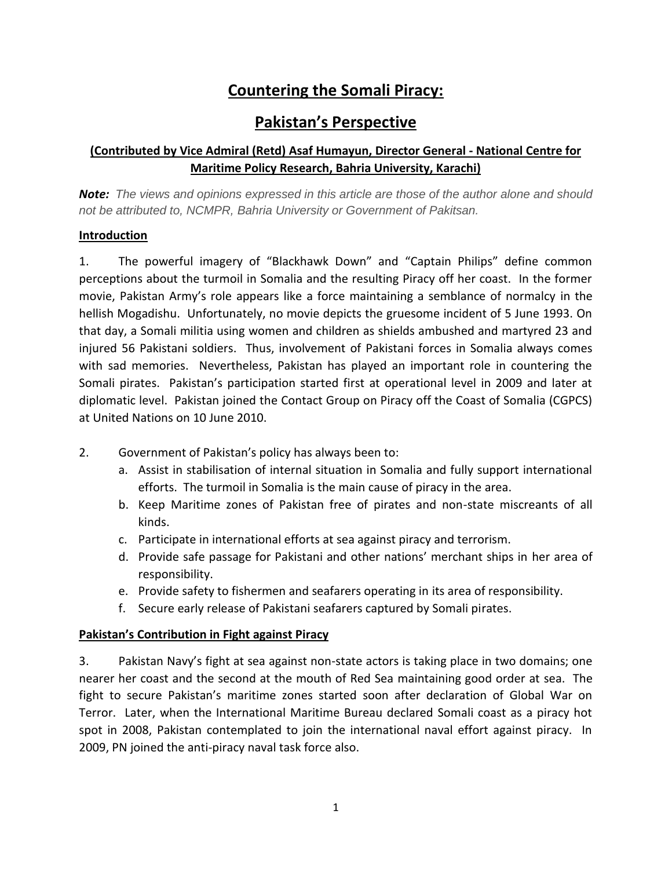# **Countering the Somali Piracy:**

## **Pakistan's Perspective**

## **(Contributed by Vice Admiral (Retd) Asaf Humayun, Director General - National Centre for Maritime Policy Research, Bahria University, Karachi)**

*Note: The views and opinions expressed in this article are those of the author alone and should not be attributed to, NCMPR, Bahria University or Government of Pakitsan.*

#### **Introduction**

1. The powerful imagery of "Blackhawk Down" and "Captain Philips" define common perceptions about the turmoil in Somalia and the resulting Piracy off her coast. In the former movie, Pakistan Army's role appears like a force maintaining a semblance of normalcy in the hellish Mogadishu. Unfortunately, no movie depicts the gruesome incident of 5 June 1993. On that day, a Somali militia using women and children as shields ambushed and martyred 23 and injured 56 Pakistani soldiers. Thus, involvement of Pakistani forces in Somalia always comes with sad memories. Nevertheless, Pakistan has played an important role in countering the Somali pirates. Pakistan's participation started first at operational level in 2009 and later at diplomatic level. Pakistan joined the Contact Group on Piracy off the Coast of Somalia (CGPCS) at United Nations on 10 June 2010.

- 2. Government of Pakistan's policy has always been to:
	- a. Assist in stabilisation of internal situation in Somalia and fully support international efforts. The turmoil in Somalia is the main cause of piracy in the area.
	- b. Keep Maritime zones of Pakistan free of pirates and non-state miscreants of all kinds.
	- c. Participate in international efforts at sea against piracy and terrorism.
	- d. Provide safe passage for Pakistani and other nations' merchant ships in her area of responsibility.
	- e. Provide safety to fishermen and seafarers operating in its area of responsibility.
	- f. Secure early release of Pakistani seafarers captured by Somali pirates.

#### **Pakistan's Contribution in Fight against Piracy**

3. Pakistan Navy's fight at sea against non-state actors is taking place in two domains; one nearer her coast and the second at the mouth of Red Sea maintaining good order at sea. The fight to secure Pakistan's maritime zones started soon after declaration of Global War on Terror. Later, when the International Maritime Bureau declared Somali coast as a piracy hot spot in 2008, Pakistan contemplated to join the international naval effort against piracy. In 2009, PN joined the anti-piracy naval task force also.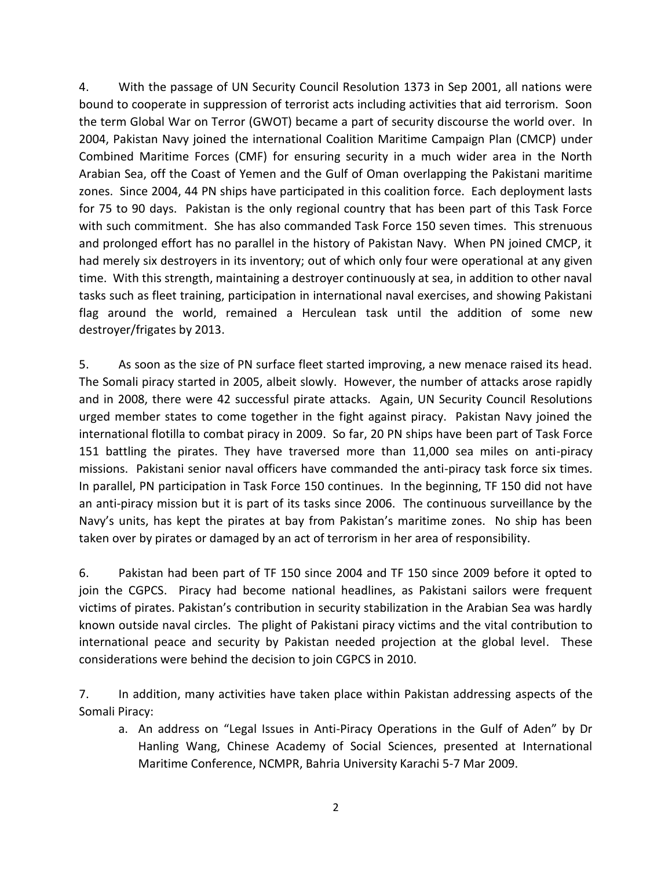4. With the passage of UN Security Council Resolution 1373 in Sep 2001, all nations were bound to cooperate in suppression of terrorist acts including activities that aid terrorism. Soon the term Global War on Terror (GWOT) became a part of security discourse the world over. In 2004, Pakistan Navy joined the international Coalition Maritime Campaign Plan (CMCP) under Combined Maritime Forces (CMF) for ensuring security in a much wider area in the North Arabian Sea, off the Coast of Yemen and the Gulf of Oman overlapping the Pakistani maritime zones. Since 2004, 44 PN ships have participated in this coalition force. Each deployment lasts for 75 to 90 days. Pakistan is the only regional country that has been part of this Task Force with such commitment. She has also commanded Task Force 150 seven times. This strenuous and prolonged effort has no parallel in the history of Pakistan Navy. When PN joined CMCP, it had merely six destroyers in its inventory; out of which only four were operational at any given time. With this strength, maintaining a destroyer continuously at sea, in addition to other naval tasks such as fleet training, participation in international naval exercises, and showing Pakistani flag around the world, remained a Herculean task until the addition of some new destroyer/frigates by 2013.

5. As soon as the size of PN surface fleet started improving, a new menace raised its head. The Somali piracy started in 2005, albeit slowly. However, the number of attacks arose rapidly and in 2008, there were 42 successful pirate attacks. Again, UN Security Council Resolutions urged member states to come together in the fight against piracy. Pakistan Navy joined the international flotilla to combat piracy in 2009. So far, 20 PN ships have been part of Task Force 151 battling the pirates. They have traversed more than 11,000 sea miles on anti-piracy missions. Pakistani senior naval officers have commanded the anti-piracy task force six times. In parallel, PN participation in Task Force 150 continues. In the beginning, TF 150 did not have an anti-piracy mission but it is part of its tasks since 2006. The continuous surveillance by the Navy's units, has kept the pirates at bay from Pakistan's maritime zones. No ship has been taken over by pirates or damaged by an act of terrorism in her area of responsibility.

6. Pakistan had been part of TF 150 since 2004 and TF 150 since 2009 before it opted to join the CGPCS. Piracy had become national headlines, as Pakistani sailors were frequent victims of pirates. Pakistan's contribution in security stabilization in the Arabian Sea was hardly known outside naval circles. The plight of Pakistani piracy victims and the vital contribution to international peace and security by Pakistan needed projection at the global level. These considerations were behind the decision to join CGPCS in 2010.

7. In addition, many activities have taken place within Pakistan addressing aspects of the Somali Piracy:

a. An address on "Legal Issues in Anti-Piracy Operations in the Gulf of Aden" by Dr Hanling Wang, Chinese Academy of Social Sciences, presented at International Maritime Conference, NCMPR, Bahria University Karachi 5-7 Mar 2009.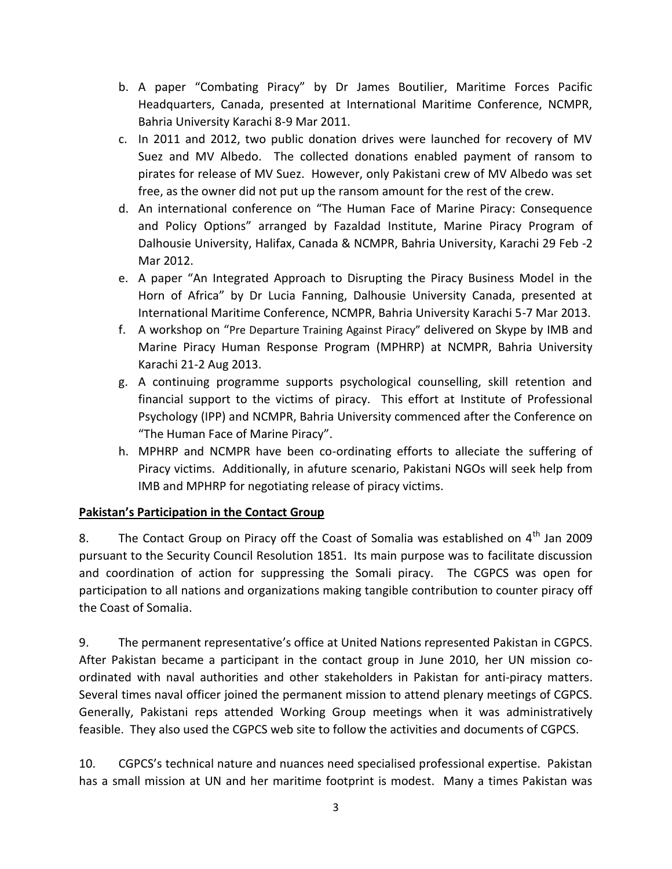- b. A paper "Combating Piracy" by Dr James Boutilier, Maritime Forces Pacific Headquarters, Canada, presented at International Maritime Conference, NCMPR, Bahria University Karachi 8-9 Mar 2011.
- c. In 2011 and 2012, two public donation drives were launched for recovery of MV Suez and MV Albedo. The collected donations enabled payment of ransom to pirates for release of MV Suez. However, only Pakistani crew of MV Albedo was set free, as the owner did not put up the ransom amount for the rest of the crew.
- d. An international conference on "The Human Face of Marine Piracy: Consequence and Policy Options" arranged by Fazaldad Institute, Marine Piracy Program of Dalhousie University, Halifax, Canada & NCMPR, Bahria University, Karachi 29 Feb -2 Mar 2012.
- e. A paper "An Integrated Approach to Disrupting the Piracy Business Model in the Horn of Africa" by Dr Lucia Fanning, Dalhousie University Canada, presented at International Maritime Conference, NCMPR, Bahria University Karachi 5-7 Mar 2013.
- f. A workshop on "Pre Departure Training Against Piracy" delivered on Skype by IMB and Marine Piracy Human Response Program (MPHRP) at NCMPR, Bahria University Karachi 21-2 Aug 2013.
- g. A continuing programme supports psychological counselling, skill retention and financial support to the victims of piracy. This effort at Institute of Professional Psychology (IPP) and NCMPR, Bahria University commenced after the Conference on "The Human Face of Marine Piracy".
- h. MPHRP and NCMPR have been co-ordinating efforts to alleciate the suffering of Piracy victims. Additionally, in afuture scenario, Pakistani NGOs will seek help from IMB and MPHRP for negotiating release of piracy victims.

## **Pakistan's Participation in the Contact Group**

8. The Contact Group on Piracy off the Coast of Somalia was established on  $4^{\text{th}}$  Jan 2009 pursuant to the Security Council Resolution 1851. Its main purpose was to facilitate discussion and coordination of action for suppressing the Somali piracy. The CGPCS was open for participation to all nations and organizations making tangible contribution to counter piracy off the Coast of Somalia.

9. The permanent representative's office at United Nations represented Pakistan in CGPCS. After Pakistan became a participant in the contact group in June 2010, her UN mission coordinated with naval authorities and other stakeholders in Pakistan for anti-piracy matters. Several times naval officer joined the permanent mission to attend plenary meetings of CGPCS. Generally, Pakistani reps attended Working Group meetings when it was administratively feasible. They also used the CGPCS web site to follow the activities and documents of CGPCS.

10. CGPCS's technical nature and nuances need specialised professional expertise. Pakistan has a small mission at UN and her maritime footprint is modest. Many a times Pakistan was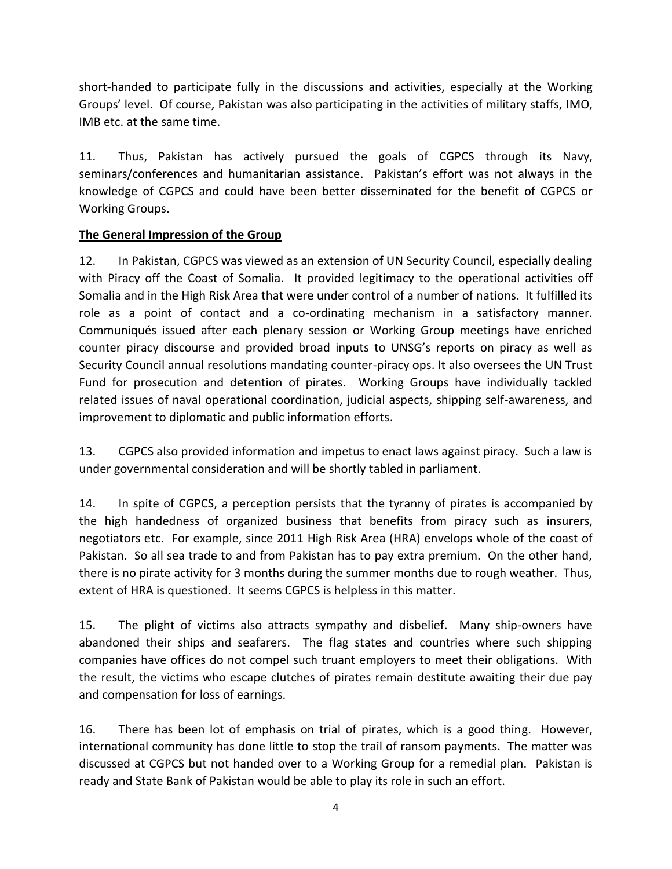short-handed to participate fully in the discussions and activities, especially at the Working Groups' level. Of course, Pakistan was also participating in the activities of military staffs, IMO, IMB etc. at the same time.

11. Thus, Pakistan has actively pursued the goals of CGPCS through its Navy, seminars/conferences and humanitarian assistance. Pakistan's effort was not always in the knowledge of CGPCS and could have been better disseminated for the benefit of CGPCS or Working Groups.

#### **The General Impression of the Group**

12. In Pakistan, CGPCS was viewed as an extension of UN Security Council, especially dealing with Piracy off the Coast of Somalia. It provided legitimacy to the operational activities off Somalia and in the High Risk Area that were under control of a number of nations. It fulfilled its role as a point of contact and a co-ordinating mechanism in a satisfactory manner. Communiqués issued after each plenary session or Working Group meetings have enriched counter piracy discourse and provided broad inputs to UNSG's reports on piracy as well as Security Council annual resolutions mandating counter-piracy ops. It also oversees the UN Trust Fund for prosecution and detention of pirates. Working Groups have individually tackled related issues of naval operational coordination, judicial aspects, shipping self-awareness, and improvement to diplomatic and public information efforts.

13. CGPCS also provided information and impetus to enact laws against piracy. Such a law is under governmental consideration and will be shortly tabled in parliament.

14. In spite of CGPCS, a perception persists that the tyranny of pirates is accompanied by the high handedness of organized business that benefits from piracy such as insurers, negotiators etc. For example, since 2011 High Risk Area (HRA) envelops whole of the coast of Pakistan. So all sea trade to and from Pakistan has to pay extra premium. On the other hand, there is no pirate activity for 3 months during the summer months due to rough weather. Thus, extent of HRA is questioned. It seems CGPCS is helpless in this matter.

15. The plight of victims also attracts sympathy and disbelief. Many ship-owners have abandoned their ships and seafarers. The flag states and countries where such shipping companies have offices do not compel such truant employers to meet their obligations. With the result, the victims who escape clutches of pirates remain destitute awaiting their due pay and compensation for loss of earnings.

16. There has been lot of emphasis on trial of pirates, which is a good thing. However, international community has done little to stop the trail of ransom payments. The matter was discussed at CGPCS but not handed over to a Working Group for a remedial plan. Pakistan is ready and State Bank of Pakistan would be able to play its role in such an effort.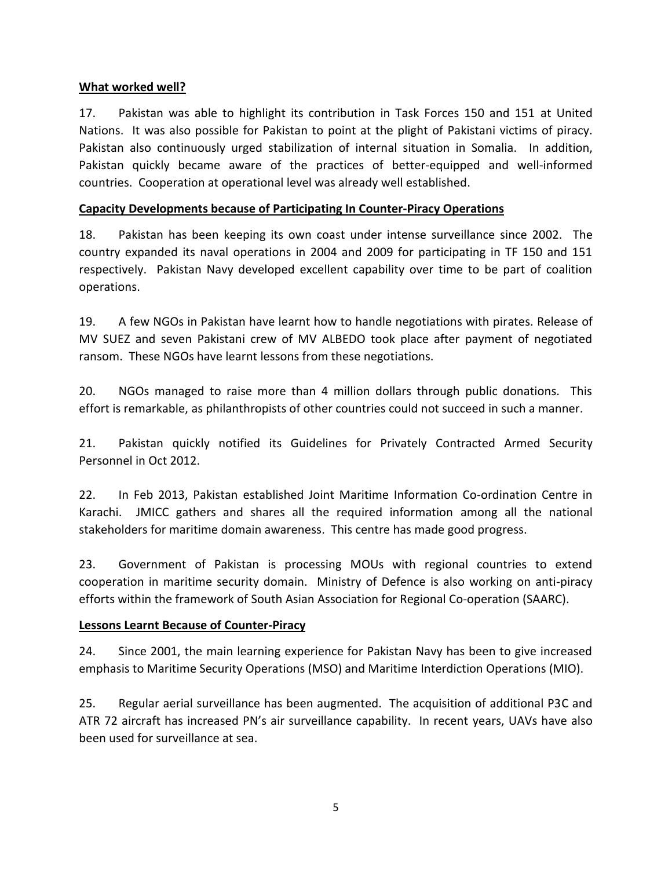#### **What worked well?**

17. Pakistan was able to highlight its contribution in Task Forces 150 and 151 at United Nations. It was also possible for Pakistan to point at the plight of Pakistani victims of piracy. Pakistan also continuously urged stabilization of internal situation in Somalia. In addition, Pakistan quickly became aware of the practices of better-equipped and well-informed countries. Cooperation at operational level was already well established.

#### **Capacity Developments because of Participating In Counter-Piracy Operations**

18. Pakistan has been keeping its own coast under intense surveillance since 2002. The country expanded its naval operations in 2004 and 2009 for participating in TF 150 and 151 respectively. Pakistan Navy developed excellent capability over time to be part of coalition operations.

19. A few NGOs in Pakistan have learnt how to handle negotiations with pirates. Release of MV SUEZ and seven Pakistani crew of MV ALBEDO took place after payment of negotiated ransom. These NGOs have learnt lessons from these negotiations.

20. NGOs managed to raise more than 4 million dollars through public donations. This effort is remarkable, as philanthropists of other countries could not succeed in such a manner.

21. Pakistan quickly notified its Guidelines for Privately Contracted Armed Security Personnel in Oct 2012.

22. In Feb 2013, Pakistan established Joint Maritime Information Co-ordination Centre in Karachi. JMICC gathers and shares all the required information among all the national stakeholders for maritime domain awareness. This centre has made good progress.

23. Government of Pakistan is processing MOUs with regional countries to extend cooperation in maritime security domain. Ministry of Defence is also working on anti-piracy efforts within the framework of South Asian Association for Regional Co-operation (SAARC).

#### **Lessons Learnt Because of Counter-Piracy**

24. Since 2001, the main learning experience for Pakistan Navy has been to give increased emphasis to Maritime Security Operations (MSO) and Maritime Interdiction Operations (MIO).

25. Regular aerial surveillance has been augmented. The acquisition of additional P3C and ATR 72 aircraft has increased PN's air surveillance capability. In recent years, UAVs have also been used for surveillance at sea.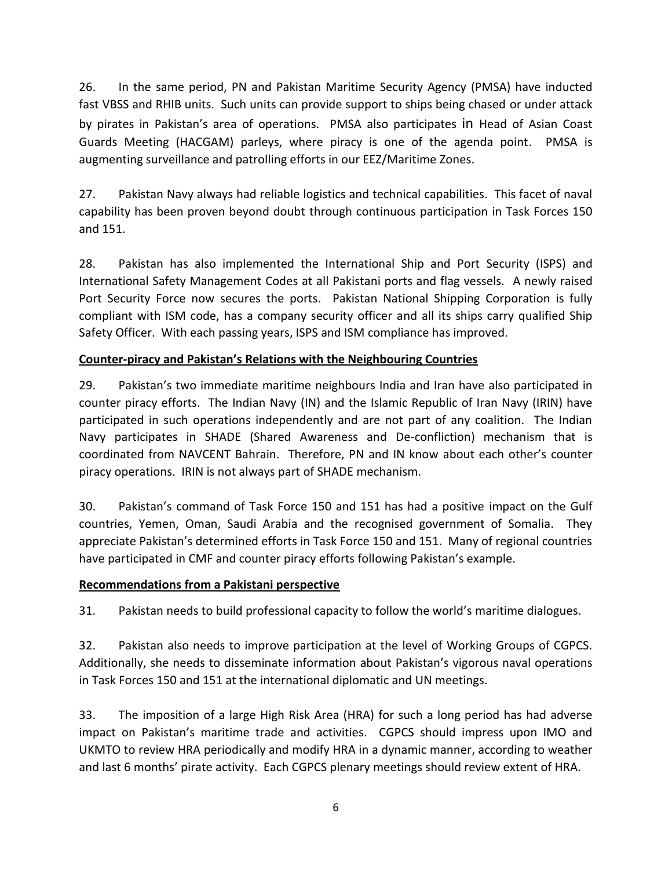26. In the same period, PN and Pakistan Maritime Security Agency (PMSA) have inducted fast VBSS and RHIB units. Such units can provide support to ships being chased or under attack by pirates in Pakistan's area of operations. PMSA also participates in Head of Asian Coast Guards Meeting (HACGAM) parleys, where piracy is one of the agenda point. PMSA is augmenting surveillance and patrolling efforts in our EEZ/Maritime Zones.

27. Pakistan Navy always had reliable logistics and technical capabilities. This facet of naval capability has been proven beyond doubt through continuous participation in Task Forces 150 and 151.

28. Pakistan has also implemented the International Ship and Port Security (ISPS) and International Safety Management Codes at all Pakistani ports and flag vessels. A newly raised Port Security Force now secures the ports. Pakistan National Shipping Corporation is fully compliant with ISM code, has a company security officer and all its ships carry qualified Ship Safety Officer. With each passing years, ISPS and ISM compliance has improved.

#### **Counter-piracy and Pakistan's Relations with the Neighbouring Countries**

29. Pakistan's two immediate maritime neighbours India and Iran have also participated in counter piracy efforts. The Indian Navy (IN) and the Islamic Republic of Iran Navy (IRIN) have participated in such operations independently and are not part of any coalition. The Indian Navy participates in SHADE (Shared Awareness and De-confliction) mechanism that is coordinated from NAVCENT Bahrain. Therefore, PN and IN know about each other's counter piracy operations. IRIN is not always part of SHADE mechanism.

30. Pakistan's command of Task Force 150 and 151 has had a positive impact on the Gulf countries, Yemen, Oman, Saudi Arabia and the recognised government of Somalia. They appreciate Pakistan's determined efforts in Task Force 150 and 151. Many of regional countries have participated in CMF and counter piracy efforts following Pakistan's example.

#### **Recommendations from a Pakistani perspective**

31. Pakistan needs to build professional capacity to follow the world's maritime dialogues.

32. Pakistan also needs to improve participation at the level of Working Groups of CGPCS. Additionally, she needs to disseminate information about Pakistan's vigorous naval operations in Task Forces 150 and 151 at the international diplomatic and UN meetings.

33. The imposition of a large High Risk Area (HRA) for such a long period has had adverse impact on Pakistan's maritime trade and activities. CGPCS should impress upon IMO and UKMTO to review HRA periodically and modify HRA in a dynamic manner, according to weather and last 6 months' pirate activity. Each CGPCS plenary meetings should review extent of HRA.